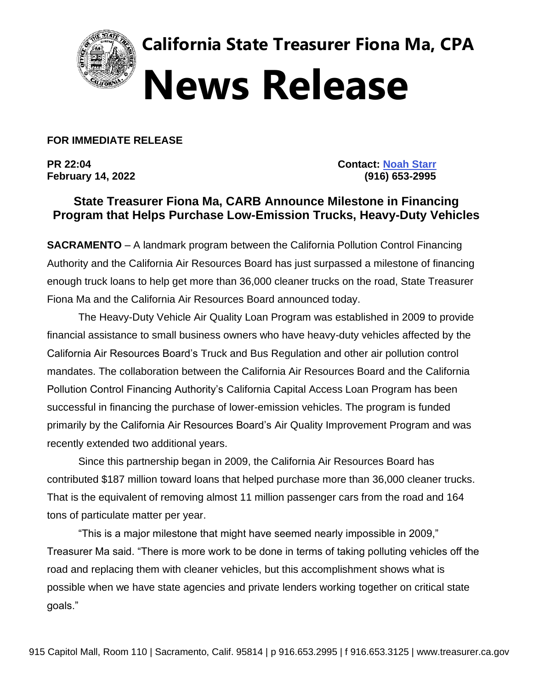

**California State Treasurer Fiona Ma, CPA News Release**

**FOR IMMEDIATE RELEASE**

**PR 22:04 Contact: [Noah Starr](mailto:noah.starr@treasurer.ca.gov) February 14, 2022 (916) 653-2995** 

## **State Treasurer Fiona Ma, CARB Announce Milestone in Financing Program that Helps Purchase Low-Emission Trucks, Heavy-Duty Vehicles**

**SACRAMENTO** – A landmark program between the California Pollution Control Financing Authority and the California Air Resources Board has just surpassed a milestone of financing enough truck loans to help get more than 36,000 cleaner trucks on the road, State Treasurer Fiona Ma and the California Air Resources Board announced today.

The Heavy-Duty Vehicle Air Quality Loan Program was established in 2009 to provide financial assistance to small business owners who have heavy-duty vehicles affected by the California Air Resources Board's Truck and Bus Regulation and other air pollution control mandates. The collaboration between the California Air Resources Board and the California Pollution Control Financing Authority's California Capital Access Loan Program has been successful in financing the purchase of lower-emission vehicles. The program is funded primarily by the California Air Resources Board's Air Quality Improvement Program and was recently extended two additional years.

Since this partnership began in 2009, the California Air Resources Board has contributed \$187 million toward loans that helped purchase more than 36,000 cleaner trucks. That is the equivalent of removing almost 11 million passenger cars from the road and 164 tons of particulate matter per year.

"This is a major milestone that might have seemed nearly impossible in 2009," Treasurer Ma said. "There is more work to be done in terms of taking polluting vehicles off the road and replacing them with cleaner vehicles, but this accomplishment shows what is possible when we have state agencies and private lenders working together on critical state goals."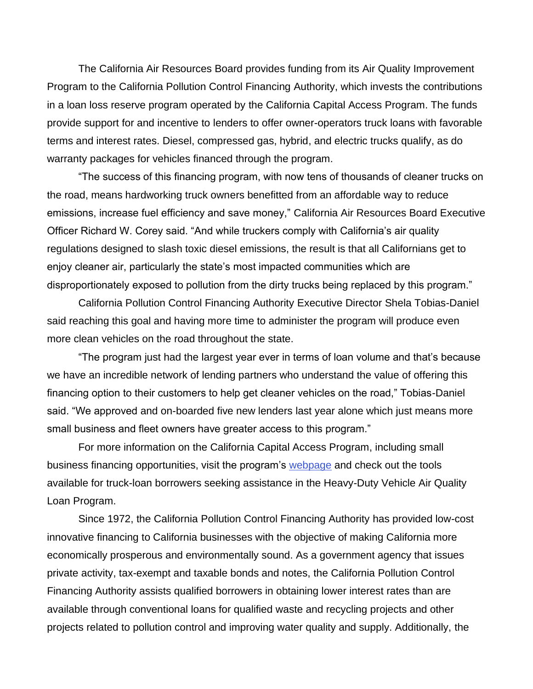The California Air Resources Board provides funding from its Air Quality Improvement Program to the California Pollution Control Financing Authority, which invests the contributions in a loan loss reserve program operated by the California Capital Access Program. The funds provide support for and incentive to lenders to offer owner-operators truck loans with favorable terms and interest rates. Diesel, compressed gas, hybrid, and electric trucks qualify, as do warranty packages for vehicles financed through the program.

"The success of this financing program, with now tens of thousands of cleaner trucks on the road, means hardworking truck owners benefitted from an affordable way to reduce emissions, increase fuel efficiency and save money," California Air Resources Board Executive Officer Richard W. Corey said. "And while truckers comply with California's air quality regulations designed to slash toxic diesel emissions, the result is that all Californians get to enjoy cleaner air, particularly the state's most impacted communities which are disproportionately exposed to pollution from the dirty trucks being replaced by this program."

California Pollution Control Financing Authority Executive Director Shela Tobias-Daniel said reaching this goal and having more time to administer the program will produce even more clean vehicles on the road throughout the state.

"The program just had the largest year ever in terms of loan volume and that's because we have an incredible network of lending partners who understand the value of offering this financing option to their customers to help get cleaner vehicles on the road," Tobias-Daniel said. "We approved and on-boarded five new lenders last year alone which just means more small business and fleet owners have greater access to this program."

For more information on the California Capital Access Program, including small business financing opportunities, visit the program's [webpage](http://www.treasurer.ca.gov/cpcfa/calcap/) and check out the tools available for truck-loan borrowers seeking assistance in the Heavy-Duty Vehicle Air Quality Loan Program.

Since 1972, the California Pollution Control Financing Authority has provided low-cost innovative financing to California businesses with the objective of making California more economically prosperous and environmentally sound. As a government agency that issues private activity, tax-exempt and taxable bonds and notes, the California Pollution Control Financing Authority assists qualified borrowers in obtaining lower interest rates than are available through conventional loans for qualified waste and recycling projects and other projects related to pollution control and improving water quality and supply. Additionally, the